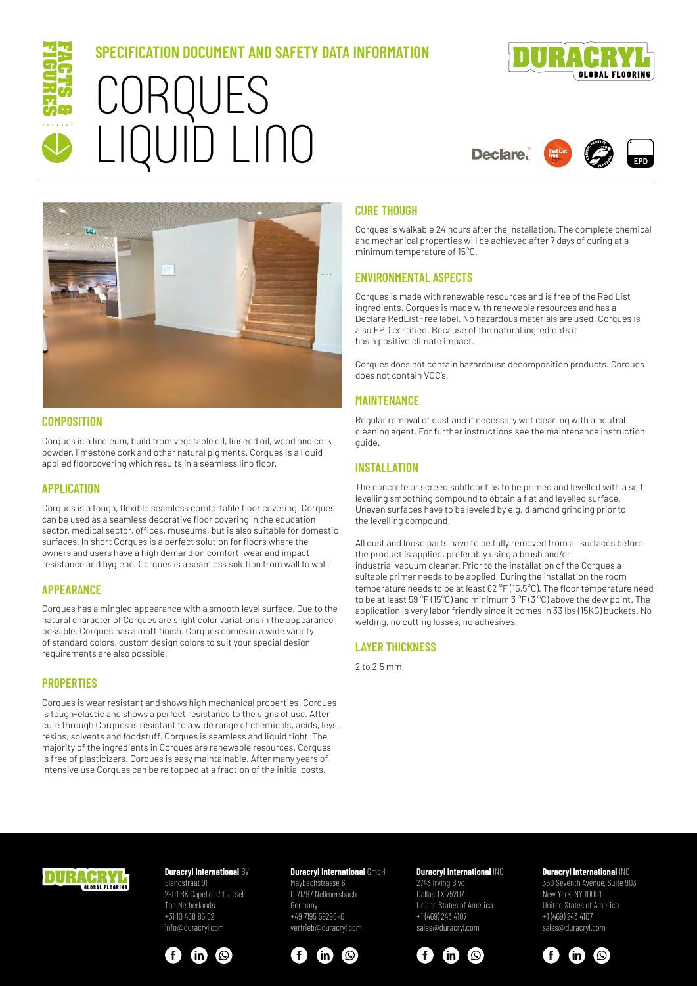

# **SPECIFICATION DOCUMENT AND SAFETY DATA INFORMATION** CORQUES LIQUID LINO



# **Declare**



#### **COMPOSITION**

Corques is a linoleum, build from vegetable oil, linseed oil, wood and cork powder, limestone cork and other natural pigments. Corques is a liquid applied floorcovering which results in a seamless lino floor.

#### **APPLICATION**

Corques is a tough, flexible seamless comfortable floor covering. Corques can be used as a seamless decorative floor covering in the education sector, medical sector, offices, museums, but is also suitable for domestic surfaces. In short Corques is a perfect solution for floors where the owners and users have a high demand on comfort, wear and impact resistance and hygiene. Corques is a seamless solution from wall to wall.

#### **APPEARANCE**

Corques has a mingled appearance with a smooth level surface. Due to the natural character of Corques are slight color variations in the appearance possible. Corques has a matt finish. Corques comes in a wide variety of standard colors, custom design colors to suit your special design requirements are also possible.

## **PROPERTIES**

Corques is wear resistant and shows high mechanical properties. Corques is tough-elastic and shows a perfect resistance to the signs of use. After cure through Corques is resistant to a wide range of chemicals, acids, leys, resins, solvents and foodstuff. Corques is seamless and liquid tight. The majority of the ingredients in Corques are renewable resources. Corques is free of plasticizers. Corques is easy maintainable. After many years of intensive use Corques can be re topped at a fraction of the initial costs.

#### **CURE THOUGH**

Corques is walkable 24 hours after the installation. The complete chemical and mechanical properties will be achieved after 7 days of curing at a minimum temperature of 15°C.

## **ENVIRONMENTAL ASPECTS**

Corques is made with renewable resources and is free of the Red List ingredients. Corques is made with renewable resources and has a Declare RedListFree label. No hazardous materials are used. Corques is also EPD certified. Because of the natural ingredients it has a positive climate impact.

Corques does not contain hazardousn decomposition products. Corques does not contain VOC's.

## **MAINTENANCE**

Regular removal of dust and if necessary wet cleaning with a neutral cleaning agent. For further instructions see the maintenance instruction guide.

# **INSTALLATION**

The concrete or screed subfloor has to be primed and levelled with a self levelling smoothing compound to obtain a flat and levelled surface. Uneven surfaces have to be leveled by e.g. diamond grinding prior to the levelling compound.

All dust and loose parts have to be fully removed from all surfaces before the product is applied, preferably using a brush and/or industrial vacuum cleaner. Prior to the installation of the Corques a suitable primer needs to be applied. During the installation the room temperature needs to be at least 62 °F (15,5°C). The floor temperature need to be at least 59 °F (15°C) and minimum 3 °F (3 °C) above the dew point. The application is very labor friendly since it comes in 33 lbs (15KG) buckets. No welding, no cutting losses, no adhesives.

# **LAYER THICKNESS**

2 to 2,5 mm



#### **Duracryl International BV** Elandstraat 91

2901 BK Capelle a/d IJssel The Netherlands +31 10 458 85 52 info@duracryl.com



# **Duracryl International** GmbH

Maybachstrasse 6 D 71397 Nellmersbach Germany +49 7195 59296–0 vertrieb@duracryl.com



#### **Duracryl International** INC 2743 Irving Blvd Dallas TX 75207 United States of America +1 (469) 243 4107 sales@duracryl.com



# **Duracryl International** INC

350 Seventh Avenue, Suite 903 New York, NY 10001 United States of America +1 (469) 243 4107 sales@duracryl.com